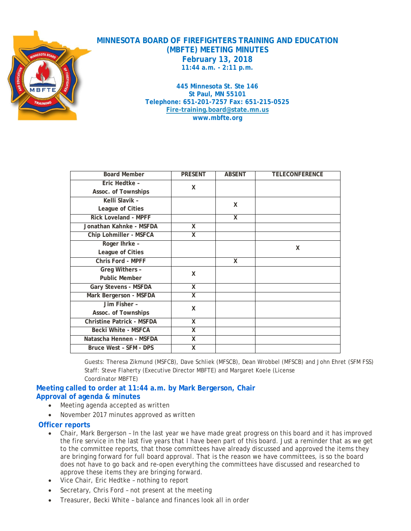

**MINNESOTA BOARD OF FIREFIGHTERS TRAINING AND EDUCATION (MBFTE) MEETING MINUTES February 13, 2018 11:44 a.m. - 2:11 p.m.**

> **445 Minnesota St. Ste 146 St Paul, MN 55101 Telephone: 651-201-7257 Fax: 651-215-0525 [Fire-training.board@state.mn.us](mailto:Fire-training.board@state.mn.us) www.mbfte.org**

| <b>Board Member</b>              | <b>PRESENT</b>          | <b>ABSENT</b> | <b>TELECONFERENCE</b> |
|----------------------------------|-------------------------|---------------|-----------------------|
| Eric Hedtke -                    | X                       |               |                       |
| Assoc. of Townships              |                         |               |                       |
| Kelli Slavik -                   |                         | X             |                       |
| League of Cities                 |                         |               |                       |
| <b>Rick Loveland - MPFF</b>      |                         | X             |                       |
| Jonathan Kahnke - MSFDA          | $\overline{\mathsf{x}}$ |               |                       |
| Chip Lohmiller - MSFCA           | X                       |               |                       |
| Roger Ihrke -                    |                         |               | X                     |
| League of Cities                 |                         |               |                       |
| Chris Ford - MPFF                |                         | X             |                       |
| Greg Withers -                   | X                       |               |                       |
| <b>Public Member</b>             |                         |               |                       |
| Gary Stevens - MSFDA             | X                       |               |                       |
| Mark Bergerson - MSFDA           | X                       |               |                       |
| Jim Fisher -                     | X                       |               |                       |
| Assoc. of Townships              |                         |               |                       |
| <b>Christine Patrick - MSFDA</b> | X                       |               |                       |
| <b>Becki White - MSFCA</b>       | X                       |               |                       |
| Natascha Hennen - MSFDA          | X                       |               |                       |
| Bruce West - SFM - DPS           | X                       |               |                       |

Guests: Theresa Zikmund (MSFCB), Dave Schliek (MFSCB), Dean Wrobbel (MFSCB) and John Ehret (SFM FSS) Staff: Steve Flaherty (Executive Director MBFTE) and Margaret Koele (License Coordinator MBFTE)

### **Meeting called to order at 11:44 a.m. by Mark Bergerson, Chair Approval of agenda & minutes**

- Meeting agenda accepted as written
- November 2017 minutes approved as written

### **Officer reports**

- Chair, Mark Bergerson In the last year we have made great progress on this board and it has improved the fire service in the last five years that I have been part of this board. Just a reminder that as we get to the committee reports, that those committees have already discussed and approved the items they are bringing forward for full board approval. That is the reason we have committees, is so the board does not have to go back and re-open everything the committees have discussed and researched to approve these items they are bringing forward.
- Vice Chair, Eric Hedtke nothing to report
- Secretary, Chris Ford not present at the meeting
- Treasurer, Becki White balance and finances look all in order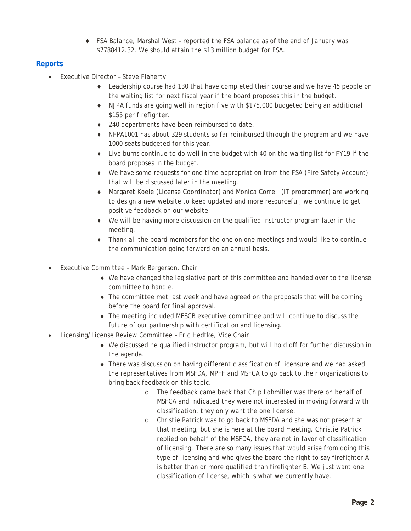♦ FSA Balance, Marshal West – reported the FSA balance as of the end of January was \$7788412.32. We should attain the \$13 million budget for FSA.

## **Reports**

- **Executive Director Steve Flaherty** 
	- ♦ Leadership course had 130 that have completed their course and we have 45 people on the waiting list for next fiscal year if the board proposes this in the budget.
	- ♦ NJPA funds are going well in region five with \$175,000 budgeted being an additional \$155 per firefighter.
	- ♦ 240 departments have been reimbursed to date.
	- ♦ NFPA1001 has about 329 students so far reimbursed through the program and we have 1000 seats budgeted for this year.
	- ♦ Live burns continue to do well in the budget with 40 on the waiting list for FY19 if the board proposes in the budget.
	- ♦ We have some requests for one time appropriation from the FSA (Fire Safety Account) that will be discussed later in the meeting.
	- ♦ Margaret Koele (License Coordinator) and Monica Correll (IT programmer) are working to design a new website to keep updated and more resourceful; we continue to get positive feedback on our website.
	- ♦ We will be having more discussion on the qualified instructor program later in the meeting.
	- ♦ Thank all the board members for the one on one meetings and would like to continue the communication going forward on an annual basis.
- Executive Committee Mark Bergerson, Chair
	- ♦ We have changed the legislative part of this committee and handed over to the license committee to handle.
	- ♦ The committee met last week and have agreed on the proposals that will be coming before the board for final approval.
	- ♦ The meeting included MFSCB executive committee and will continue to discuss the future of our partnership with certification and licensing.
- Licensing/License Review Committee Eric Hedtke, Vice Chair
	- ♦ We discussed he qualified instructor program, but will hold off for further discussion in the agenda.
	- ♦ There was discussion on having different classification of licensure and we had asked the representatives from MSFDA, MPFF and MSFCA to go back to their organizations to bring back feedback on this topic.
		- o The feedback came back that Chip Lohmiller was there on behalf of MSFCA and indicated they were not interested in moving forward with classification, they only want the one license.
		- o Christie Patrick was to go back to MSFDA and she was not present at that meeting, but she is here at the board meeting. Christie Patrick replied on behalf of the MSFDA, they are not in favor of classification of licensing. There are so many issues that would arise from doing this type of licensing and who gives the board the right to say firefighter A is better than or more qualified than firefighter B. We just want one classification of license, which is what we currently have.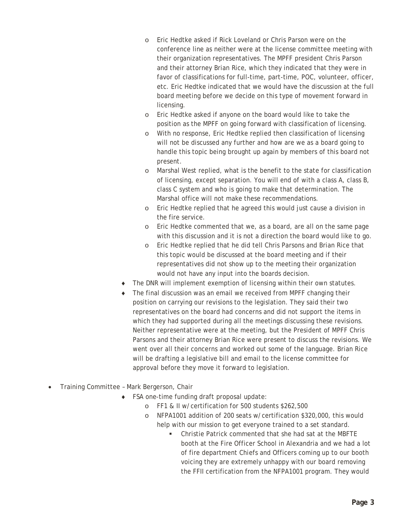- o Eric Hedtke asked if Rick Loveland or Chris Parson were on the conference line as neither were at the license committee meeting with their organization representatives. The MPFF president Chris Parson and their attorney Brian Rice, which they indicated that they were in favor of classifications for full-time, part-time, POC, volunteer, officer, etc. Eric Hedtke indicated that we would have the discussion at the full board meeting before we decide on this type of movement forward in licensing.
- o Eric Hedtke asked if anyone on the board would like to take the position as the MPFF on going forward with classification of licensing.
- o With no response, Eric Hedtke replied then classification of licensing will not be discussed any further and how are we as a board going to handle this topic being brought up again by members of this board not present.
- o Marshal West replied, what is the benefit to the state for classification of licensing, except separation. You will end of with a class A, class B, class C system and who is going to make that determination. The Marshal office will not make these recommendations.
- o Eric Hedtke replied that he agreed this would just cause a division in the fire service.
- o Eric Hedtke commented that we, as a board, are all on the same page with this discussion and it is not a direction the board would like to go.
- o Eric Hedtke replied that he did tell Chris Parsons and Brian Rice that this topic would be discussed at the board meeting and if their representatives did not show up to the meeting their organization would not have any input into the boards decision.
- The DNR will implement exemption of licensing within their own statutes.
- ♦ The final discussion was an email we received from MPFF changing their position on carrying our revisions to the legislation. They said their two representatives on the board had concerns and did not support the items in which they had supported during all the meetings discussing these revisions. Neither representative were at the meeting, but the President of MPFF Chris Parsons and their attorney Brian Rice were present to discuss the revisions. We went over all their concerns and worked out some of the language. Brian Rice will be drafting a legislative bill and email to the license committee for approval before they move it forward to legislation.
- Training Committee Mark Bergerson, Chair
	- ♦ FSA one-time funding draft proposal update:
		- o FF1 & II w/certification for 500 students \$262,500
		- o NFPA1001 addition of 200 seats w/certification \$320,000, this would help with our mission to get everyone trained to a set standard.
			- Christie Patrick commented that she had sat at the MBFTE booth at the Fire Officer School in Alexandria and we had a lot of fire department Chiefs and Officers coming up to our booth voicing they are extremely unhappy with our board removing the FFII certification from the NFPA1001 program. They would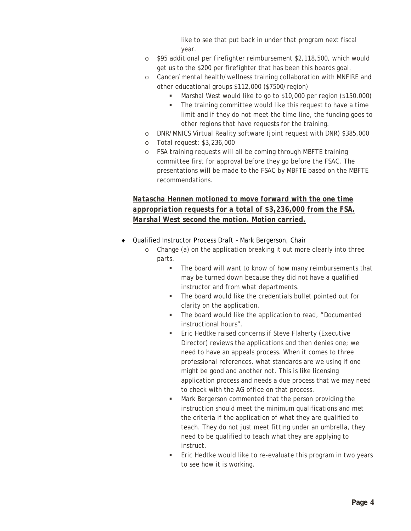like to see that put back in under that program next fiscal year.

- o \$95 additional per firefighter reimbursement \$2,118,500, which would get us to the \$200 per firefighter that has been this boards goal.
- o Cancer/mental health/wellness training collaboration with MNFIRE and other educational groups \$112,000 (\$7500/region)
	- Marshal West would like to go to \$10,000 per region (\$150,000)
	- The training committee would like this request to have a time limit and if they do not meet the time line, the funding goes to other regions that have requests for the training.
- o DNR/MNICS Virtual Reality software (joint request with DNR) \$385,000
- o Total request: \$3,236,000
- o FSA training requests will all be coming through MBFTE training committee first for approval before they go before the FSAC. The presentations will be made to the FSAC by MBFTE based on the MBFTE recommendations.

# *Natascha Hennen motioned to move forward with the one time appropriation requests for a total of \$3,236,000 from the FSA. Marshal West second the motion. Motion carried.*

- Qualified Instructor Process Draft Mark Bergerson, Chair
	- o Change (a) on the application breaking it out more clearly into three parts.
		- The board will want to know of how many reimbursements that may be turned down because they did not have a qualified instructor and from what departments.
		- The board would like the credentials bullet pointed out for clarity on the application.
		- **The board would like the application to read, "Documented** instructional hours".
		- Eric Hedtke raised concerns if Steve Flaherty (Executive Director) reviews the applications and then denies one; we need to have an appeals process. When it comes to three professional references, what standards are we using if one might be good and another not. This is like licensing application process and needs a due process that we may need to check with the AG office on that process.
		- Mark Bergerson commented that the person providing the instruction should meet the minimum qualifications and met the criteria if the application of what they are qualified to teach. They do not just meet fitting under an umbrella, they need to be qualified to teach what they are applying to instruct.
		- Eric Hedtke would like to re-evaluate this program in two years to see how it is working.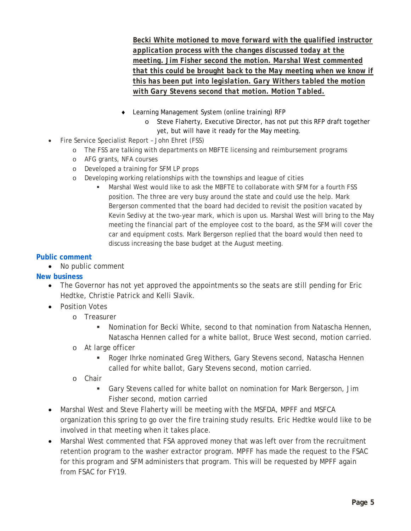*Becki White motioned to move forward with the qualified instructor application process with the changes discussed today at the meeting. Jim Fisher second the motion. Marshal West commented that this could be brought back to the May meeting when we know if this has been put into legislation. Gary Withers tabled the motion with Gary Stevens second that motion. Motion Tabled.* 

- ♦ Learning Management System (online training) RFP
	- o Steve Flaherty, Executive Director, has not put this RFP draft together yet, but will have it ready for the May meeting.
- Fire Service Specialist Report John Ehret (FSS)
	- o The FSS are talking with departments on MBFTE licensing and reimbursement programs
	- o AFG grants, NFA courses
	- o Developed a training for SFM LP props
	- o Developing working relationships with the townships and league of cities
		- Marshal West would like to ask the MBFTE to collaborate with SFM for a fourth FSS position. The three are very busy around the state and could use the help. Mark Bergerson commented that the board had decided to revisit the position vacated by Kevin Sedivy at the two-year mark, which is upon us. Marshal West will bring to the May meeting the financial part of the employee cost to the board, as the SFM will cover the car and equipment costs. Mark Bergerson replied that the board would then need to discuss increasing the base budget at the August meeting.

### **Public comment**

• No public comment

### **New business**

- The Governor has not yet approved the appointments so the seats are still pending for Eric Hedtke, Christie Patrick and Kelli Slavik.
- Position Votes
	- o Treasurer
		- Nomination for Becki White, second to that nomination from Natascha Hennen, Natascha Hennen called for a white ballot, Bruce West second, motion carried.
	- o At large officer
		- Roger Ihrke nominated Greg Withers, Gary Stevens second, Natascha Hennen called for white ballot, Gary Stevens second, motion carried.
	- o Chair
		- Gary Stevens called for white ballot on nomination for Mark Bergerson, Jim Fisher second, motion carried
- Marshal West and Steve Flaherty will be meeting with the MSFDA, MPFF and MSFCA organization this spring to go over the fire training study results. Eric Hedtke would like to be involved in that meeting when it takes place.
- Marshal West commented that FSA approved money that was left over from the recruitment retention program to the washer extractor program. MPFF has made the request to the FSAC for this program and SFM administers that program. This will be requested by MPFF again from FSAC for FY19.